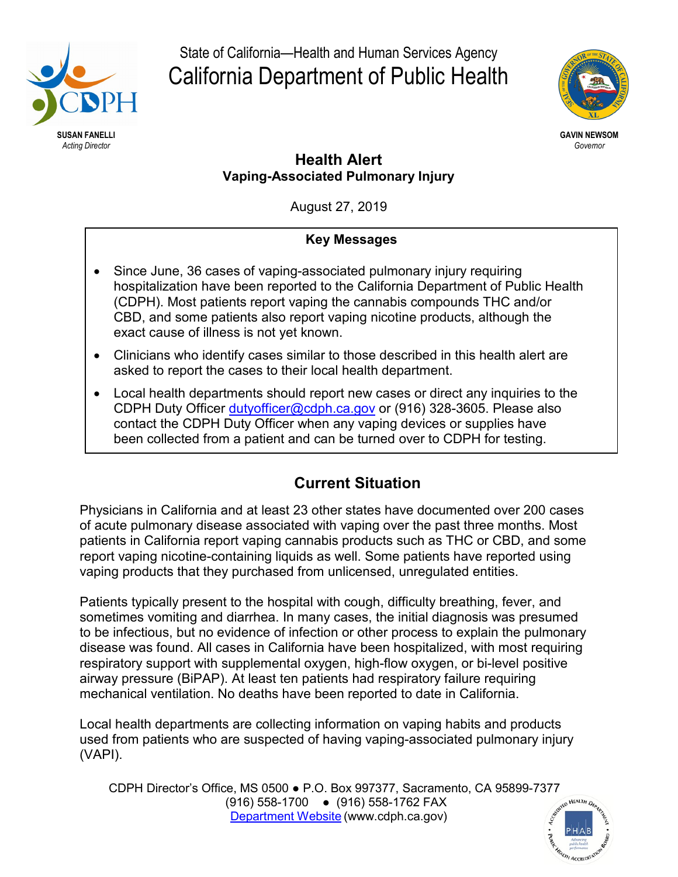

State of California—Health and Human Services Agency California Department of Public Health



#### *Acting Director Governor* **Health Alert Vaping-Associated Pulmonary Injury**

August 27, 2019

## **Key Messages**

- Since June, 36 cases of vaping-associated pulmonary injury requiring hospitalization have been reported to the California Department of Public Health (CDPH). Most patients report vaping the cannabis compounds THC and/or CBD, and some patients also report vaping nicotine products, although the exact cause of illness is not yet known.
- Clinicians who identify cases similar to those described in this health alert are asked to report the cases to their local health department.
- Local health departments should report new cases or direct any inquiries to the CDPH Duty Officer [dutyofficer@cdph.ca.gov](mailto:dutyofficer@cdph.ca.gov) or (916) 328-3605. Please also contact the CDPH Duty Officer when any vaping devices or supplies have been collected from a patient and can be turned over to CDPH for testing.

# **Current Situation**

Physicians in California and at least 23 other states have documented over 200 cases of acute pulmonary disease associated with vaping over the past three months. Most patients in California report vaping cannabis products such as THC or CBD, and some report vaping nicotine-containing liquids as well. Some patients have reported using vaping products that they purchased from unlicensed, unregulated entities.

Patients typically present to the hospital with cough, difficulty breathing, fever, and sometimes vomiting and diarrhea. In many cases, the initial diagnosis was presumed to be infectious, but no evidence of infection or other process to explain the pulmonary disease was found. All cases in California have been hospitalized, with most requiring respiratory support with supplemental oxygen, high-flow oxygen, or bi-level positive airway pressure (BiPAP). At least ten patients had respiratory failure requiring mechanical ventilation. No deaths have been reported to date in California.

Local health departments are collecting information on vaping habits and products used from patients who are suspected of having vaping-associated pulmonary injury (VAPI).

CDPH Director's Office, MS 0500 ● P.O. Box 997377, Sacramento, CA 95899-7377 (916) 558-1700 ● (916) 558-1762 FAX [Department Website](http://www.cdph.ca.gov/) (www.cdph.ca.gov)

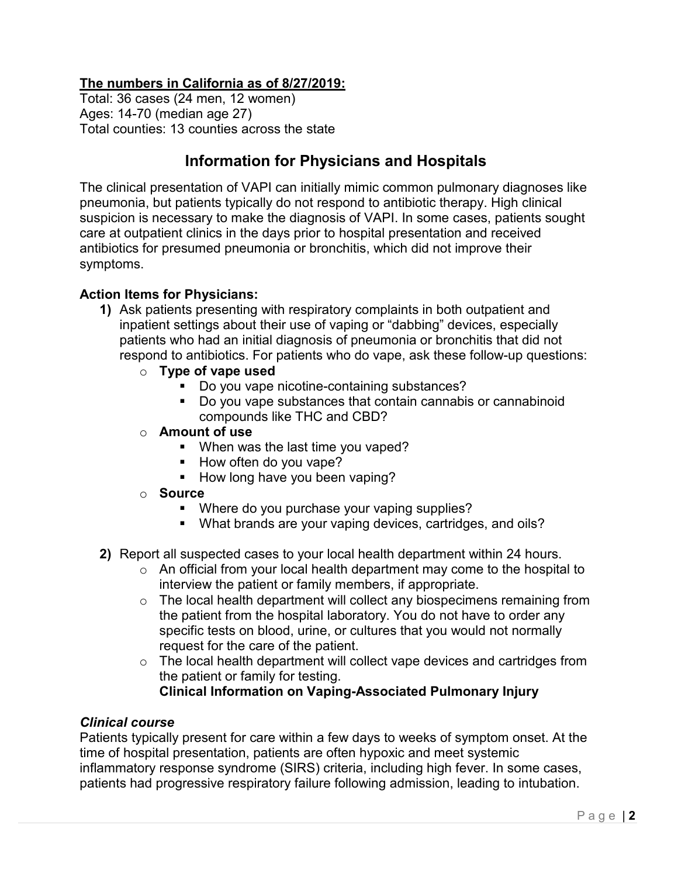### **The numbers in California as of 8/27/2019:**

Total: 36 cases (24 men, 12 women) Ages: 14-70 (median age 27) Total counties: 13 counties across the state

## **Information for Physicians and Hospitals**

The clinical presentation of VAPI can initially mimic common pulmonary diagnoses like pneumonia, but patients typically do not respond to antibiotic therapy. High clinical suspicion is necessary to make the diagnosis of VAPI. In some cases, patients sought care at outpatient clinics in the days prior to hospital presentation and received antibiotics for presumed pneumonia or bronchitis, which did not improve their symptoms.

#### **Action Items for Physicians:**

- **1)** Ask patients presenting with respiratory complaints in both outpatient and inpatient settings about their use of vaping or "dabbing" devices, especially patients who had an initial diagnosis of pneumonia or bronchitis that did not respond to antibiotics. For patients who do vape, ask these follow-up questions:
	- o **Type of vape used**
		- Do you vape nicotine-containing substances?
		- Do you vape substances that contain cannabis or cannabinoid compounds like THC and CBD?
	- o **Amount of use**
		- When was the last time you vaped?
		- How often do you vape?
		- How long have you been vaping?
	- o **Source** 
		- **Where do you purchase your vaping supplies?**
		- What brands are your vaping devices, cartridges, and oils?
- **2)** Report all suspected cases to your local health department within 24 hours.
	- o An official from your local health department may come to the hospital to interview the patient or family members, if appropriate.
	- o The local health department will collect any biospecimens remaining from the patient from the hospital laboratory. You do not have to order any specific tests on blood, urine, or cultures that you would not normally request for the care of the patient.
	- $\circ$  The local health department will collect vape devices and cartridges from the patient or family for testing. **Clinical Information on Vaping-Associated Pulmonary Injury**

#### *Clinical course*

Patients typically present for care within a few days to weeks of symptom onset. At the time of hospital presentation, patients are often hypoxic and meet systemic inflammatory response syndrome (SIRS) criteria, including high fever. In some cases, patients had progressive respiratory failure following admission, leading to intubation.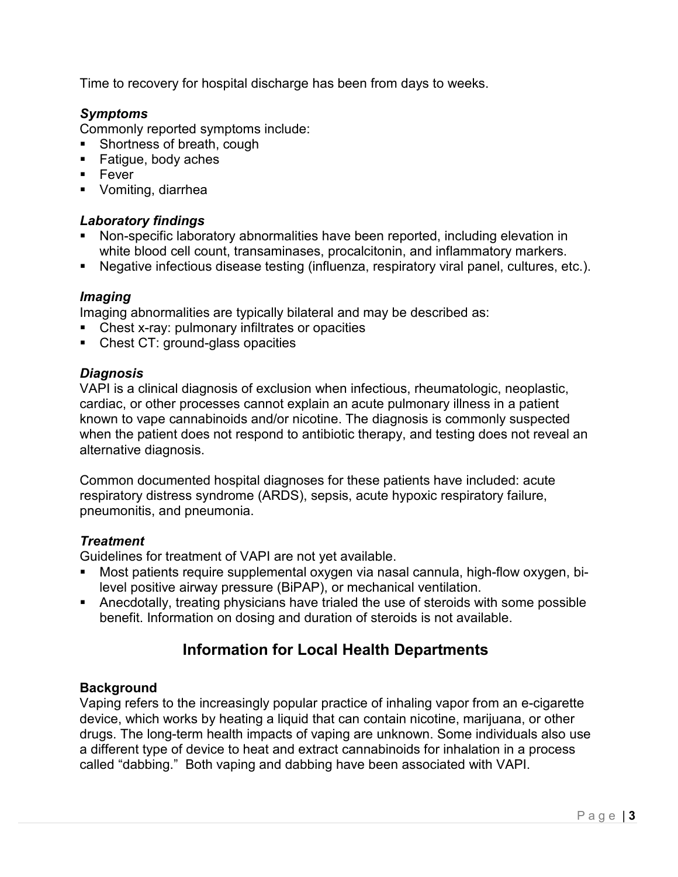Time to recovery for hospital discharge has been from days to weeks.

#### *Symptoms*

Commonly reported symptoms include:

- Shortness of breath, cough
- Fatique, body aches
- $\blacksquare$  Fever
- **Vomiting, diarrhea**

### *Laboratory findings*

- Non-specific laboratory abnormalities have been reported, including elevation in white blood cell count, transaminases, procalcitonin, and inflammatory markers.
- Negative infectious disease testing (influenza, respiratory viral panel, cultures, etc.).

#### *Imaging*

Imaging abnormalities are typically bilateral and may be described as:

- **Chest x-ray: pulmonary infiltrates or opacities**
- Chest CT: ground-glass opacities

### *Diagnosis*

VAPI is a clinical diagnosis of exclusion when infectious, rheumatologic, neoplastic, cardiac, or other processes cannot explain an acute pulmonary illness in a patient known to vape cannabinoids and/or nicotine. The diagnosis is commonly suspected when the patient does not respond to antibiotic therapy, and testing does not reveal an alternative diagnosis.

Common documented hospital diagnoses for these patients have included: acute respiratory distress syndrome (ARDS), sepsis, acute hypoxic respiratory failure, pneumonitis, and pneumonia.

## *Treatment*

Guidelines for treatment of VAPI are not yet available.

- Most patients require supplemental oxygen via nasal cannula, high-flow oxygen, bilevel positive airway pressure (BiPAP), or mechanical ventilation.
- Anecdotally, treating physicians have trialed the use of steroids with some possible benefit. Information on dosing and duration of steroids is not available.

# **Information for Local Health Departments**

## **Background**

Vaping refers to the increasingly popular practice of inhaling vapor from an e-cigarette device, which works by heating a liquid that can contain nicotine, marijuana, or other drugs. The long-term health impacts of vaping are unknown. Some individuals also use a different type of device to heat and extract cannabinoids for inhalation in a process called "dabbing." Both vaping and dabbing have been associated with VAPI.